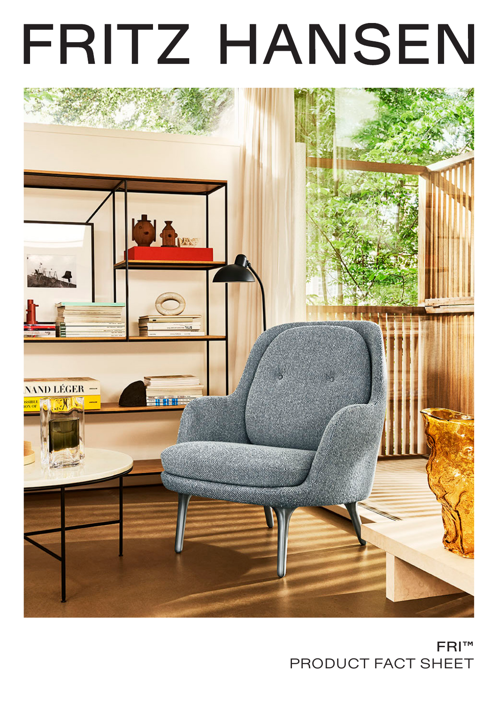# FRITZ HANSEN



# FRI™ PRODUCT FACT SHEET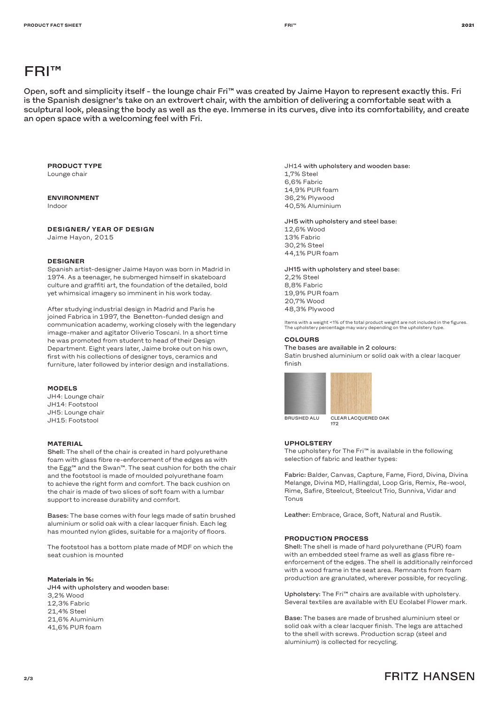# FRI™

Open, soft and simplicity itself - the lounge chair Fri™ was created by Jaime Hayon to represent exactly this. Fri is the Spanish designer's take on an extrovert chair, with the ambition of delivering a comfortable seat with a sculptural look, pleasing the body as well as the eye. Immerse in its curves, dive into its comfortability, and create an open space with a welcoming feel with Fri.

#### **PRODUCT TYPE** Lounge chair

# **ENVIRONMENT**

Indoor

# **DESIGNER/ YEAR OF DESIGN**

Jaime Hayon, 2015

# **DESIGNER**

Spanish artist-designer Jaime Hayon was born in Madrid in 1974. As a teenager, he submerged himself in skateboard culture and graffiti art, the foundation of the detailed, bold yet whimsical imagery so imminent in his work today.

After studying industrial design in Madrid and Paris he joined Fabrica in 1997, the Benetton-funded design and communication academy, working closely with the legendary image-maker and agitator Oliverio Toscani. In a short time he was promoted from student to head of their Design Department. Eight years later, Jaime broke out on his own, first with his collections of designer toys, ceramics and furniture, later followed by interior design and installations.

## **MODELS**

JH4: Lounge chair JH14: Footstool JH5: Lounge chair JH15: Footstool

# **MATERIAL**

Shell: The shell of the chair is created in hard polyurethane foam with glass fibre re-enforcement of the edges as with the Egg™ and the Swan™. The seat cushion for both the chair and the footstool is made of moulded polyurethane foam to achieve the right form and comfort. The back cushion on the chair is made of two slices of soft foam with a lumbar support to increase durability and comfort.

Bases: The base comes with four legs made of satin brushed aluminium or solid oak with a clear lacquer finish. Each leg has mounted nylon glides, suitable for a majority of floors.

The footstool has a bottom plate made of MDF on which the seat cushion is mounted

#### **Materials in %:**

JH4 with upholstery and wooden base: 3,2% Wood 12,3% Fabric 21,4% Steel 21,6% Aluminium 41,6% PUR foam

JH14 with upholstery and wooden base: 1,7% Steel 6,6% Fabric 14,9% PUR foam 36,2% Plywood 40,5% Aluminium

JH5 with upholstery and steel base: 12,6% Wood 13% Fabric 30,2% Steel ee, 276 Steer<br>44,1% PUR foam SURFACE SECRETARIES.<br>SURFACE SURFACE SECRETARIES

JH15 with upholstery and steel base: 2,2% Steel 8,8% Fabric 19,9% PUR foam

20,7% Wood 48,3% Plywood

ltems with a weight <1% of the total product weight are not included in the figures. The upholster was completed the upholstery type.<br>The upholstery type.

#### **COLOURS**

The bases are available in 2 colours:

Satin brushed aluminium or solid oak with a clear lacquer finish





172 172

# UPHOLSTERY

The upholstery for The Fri™ is available in the following selection of fabric and leather types:

Fabric: Balder, Canvas, Capture, Fame, Fiord, Divina, Divina Melange, Divina MD, Hallingdal, Loop Gris, Remix, Re-wool, Profange, Brytha Pre, Prailingaal, Eeep Grie, Hermix, Hermic<br>Rime, Safire, Steelcut, Steelcut Trio, Sunniva, Vidar and Tonus

Leather: Embrace, Grace, Soft, Natural and Rustik.

#### **PRODUCTION PROCESS**

Shell: The shell is made of hard polyurethane (PUR) foam with an embedded steel frame as well as glass fibre reenforcement of the edges. The shell is additionally reinforced with a wood frame in the seat area. Remnants from foam production are granulated, wherever possible, for recycling.

Upholstery: The Fri™ chairs are available with upholstery. Several textiles are available with EU Ecolabel Flower mark.

Base: The bases are made of brushed aluminium steel or solid oak with a clear lacquer finish. The legs are attached to the shell with screws. Production scrap (steel and aluminium) is collected for recycling.